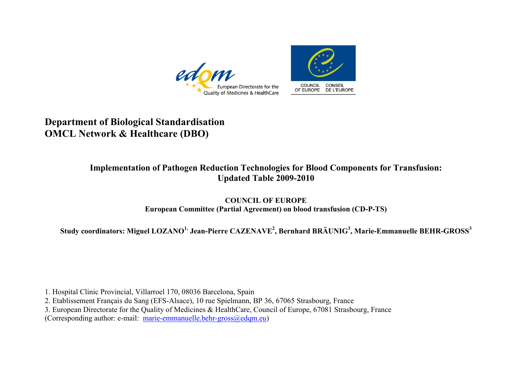



## **Department of Biological Standardisation OMCL Network & Healthcare (DBO)**

## **Implementation of Pathogen Reduction Technologies for Blood Components for Transfusion: Updated Table 2009-2010**

## **COUNCIL OF EUROPE European Committee (Partial Agreement) on blood transfusion (CD-P-TS)**

**Study coordinators: Miguel LOZANO1, Jean-Pierre CAZENAVE<sup>2</sup> , Bernhard BRÄUNIG3 , Marie-Emmanuelle BEHR-GROSS<sup>3</sup>**

1. Hospital Clinic Provincial, Villarroel 170, 08036 Barcelona, Spain

2. Etablissement Français du Sang (EFS-Alsace), 10 rue Spielmann, BP 36, 67065 Strasbourg, France

3. European Directorate for the Quality of Medicines & HealthCare, Council of Europe, 67081 Strasbourg, France

(Corresponding author: e-mail: marie-emmanuelle.behr-gross $@$ edqm.eu)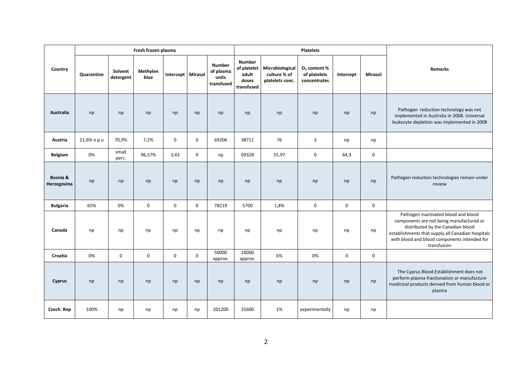|                         |             |                      | Fresh frozen plasma |                     |             |                                                   |                                                              |                                                    | <b>Platelets</b>                                         |             |             |                                                                                                                                                                                                                                           |
|-------------------------|-------------|----------------------|---------------------|---------------------|-------------|---------------------------------------------------|--------------------------------------------------------------|----------------------------------------------------|----------------------------------------------------------|-------------|-------------|-------------------------------------------------------------------------------------------------------------------------------------------------------------------------------------------------------------------------------------------|
| Country                 | Quarantine  | Solvent<br>detergent | Methylen<br>blue    | Intercept   Mirasol |             | <b>Number</b><br>of plasma<br>units<br>transfused | <b>Number</b><br>of platelet<br>adult<br>doses<br>transfused | Microbiological<br>culture % of<br>platelets conc. | O <sub>2</sub> content %<br>of platelets<br>concentrates | Intercept   | Mirasol     | Remarks                                                                                                                                                                                                                                   |
| <b>Australia</b>        | np          | np                   | np                  | np                  | np          | np                                                | np                                                           | np                                                 | np                                                       | np          | np          | Pathogen reduction technology was not<br>implemented in Australia in 2008. Universal<br>leukocyte depletion was implemented in 2008                                                                                                       |
| Austria                 | 21,6% o p u | 70,9%                | 7,2%                | $\mathbf 0$         | $\mathbf 0$ | 69206                                             | 38711                                                        | 76                                                 | 3                                                        | np          | np          |                                                                                                                                                                                                                                           |
| <b>Belgium</b>          | 0%          | small<br>perc.       | 96,57%              | 3,43                | $\mathbf 0$ | np                                                | 69328                                                        | 55,97                                              | $\mathbf 0$                                              | 44,3        | $\mathbf 0$ |                                                                                                                                                                                                                                           |
| Bosnia &<br>Herzegovina | np          | np                   | np                  | np                  | np          | np                                                | np                                                           | np                                                 | np                                                       | np          | np          | Pathogen reduction technologies remain under<br>review                                                                                                                                                                                    |
| <b>Bulgaria</b>         | 65%         | 0%                   | $\mathbf 0$         | $\mathbf 0$         | $\mathbf 0$ | 78219                                             | 5700                                                         | 1,8%                                               | $\mathbf 0$                                              | $\mathbf 0$ | $\mathbf 0$ |                                                                                                                                                                                                                                           |
| Canada                  | np          | np                   | np                  | np                  | np          | np                                                | np                                                           | np                                                 | np                                                       | np          | np          | Pathogen inactivated blood and blood<br>components are not being manufactured or<br>distributed by the Canadian blood<br>establishments that supply all Canadian hospitals<br>with blood and blood components intended for<br>transfusion |
| Croatia                 | 0%          | $\mathbf 0$          | $\pmb{0}$           | $\mathbf 0$         | $\mathbf 0$ | 50000<br>approx.                                  | 14000<br>approx.                                             | 6%                                                 | 0%                                                       | $\mathbf 0$ | $\mathbf 0$ |                                                                                                                                                                                                                                           |
| <b>Cyprus</b>           | np          | np                   | np                  | np                  | np          | np                                                | np                                                           | np                                                 | np                                                       | np          | np          | The Cyprus Blood Establishment does not<br>perform plasma fractionation or manufacture<br>medicinal products derived from human blood or<br>plasma                                                                                        |
| Czech. Rep              | 100%        | np                   | np                  | np                  | np          | 201200                                            | 31600                                                        | 1%                                                 | experimentally                                           | np          | np          |                                                                                                                                                                                                                                           |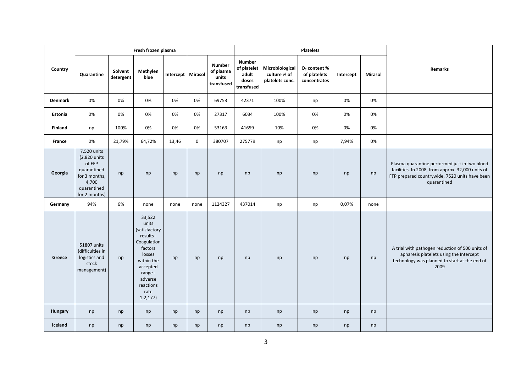|                |                                                                                                                |                      | Fresh frozen plasma                                                                                                                                               |                     |             |                                            |                                                              |                                                    | <b>Platelets</b>                               |           |         |                                                                                                                                                                     |
|----------------|----------------------------------------------------------------------------------------------------------------|----------------------|-------------------------------------------------------------------------------------------------------------------------------------------------------------------|---------------------|-------------|--------------------------------------------|--------------------------------------------------------------|----------------------------------------------------|------------------------------------------------|-----------|---------|---------------------------------------------------------------------------------------------------------------------------------------------------------------------|
| Country        | Quarantine                                                                                                     | Solvent<br>detergent | Methylen<br>blue                                                                                                                                                  | Intercept   Mirasol |             | Number<br>of plasma<br>units<br>transfused | <b>Number</b><br>of platelet<br>adult<br>doses<br>transfused | Microbiological<br>culture % of<br>platelets conc. | $O2$ content %<br>of platelets<br>concentrates | Intercept | Mirasol | Remarks                                                                                                                                                             |
| Denmark        | 0%                                                                                                             | 0%                   | 0%                                                                                                                                                                | 0%                  | 0%          | 69753                                      | 42371                                                        | 100%                                               | np                                             | 0%        | 0%      |                                                                                                                                                                     |
| Estonia        | 0%                                                                                                             | 0%                   | 0%                                                                                                                                                                | 0%                  | 0%          | 27317                                      | 6034                                                         | 100%                                               | 0%                                             | 0%        | 0%      |                                                                                                                                                                     |
| <b>Finland</b> | np                                                                                                             | 100%                 | 0%                                                                                                                                                                | 0%                  | 0%          | 53163                                      | 41659                                                        | 10%                                                | 0%                                             | 0%        | 0%      |                                                                                                                                                                     |
| France         | 0%                                                                                                             | 21,79%               | 64,72%                                                                                                                                                            | 13,46               | $\mathbf 0$ | 380707                                     | 275779                                                       | np                                                 | np                                             | 7,94%     | 0%      |                                                                                                                                                                     |
| Georgia        | 7,520 units<br>(2,820 units<br>of FFP<br>quarantined<br>for 3 months,<br>4,700<br>quarantined<br>for 2 months) | np                   | np                                                                                                                                                                | np                  | np          | np                                         | np                                                           | np                                                 | np                                             | np        | np      | Plasma quarantine performed just in two blood<br>facilities. In 2008, from approx. 32,000 units of<br>FFP prepared countrywide, 7520 units have been<br>quarantined |
| Germany        | 94%                                                                                                            | 6%                   | none                                                                                                                                                              | none                | none        | 1124327                                    | 437014                                                       | np                                                 | np                                             | 0,07%     | none    |                                                                                                                                                                     |
| Greece         | 51807 units<br>(difficulties in<br>logistics and<br>stock<br>management)                                       | np                   | 33,522<br>units<br>(satisfactory<br>results -<br>Coagulation<br>factors<br>losses<br>within the<br>accepted<br>range -<br>adverse<br>reactions<br>rate<br>1:2,177 | np                  | np          | np                                         | np                                                           | np                                                 | np                                             | np        | np      | A trial with pathogen reduction of 500 units of<br>apharesis platelets using the Intercept<br>technology was planned to start at the end of<br>2009                 |
| Hungary        | np                                                                                                             | np                   | np                                                                                                                                                                | np                  | np          | np                                         | np                                                           | np                                                 | np                                             | np        | np      |                                                                                                                                                                     |
| Iceland        | np                                                                                                             | np                   | np                                                                                                                                                                | np                  | np          | np                                         | np                                                           | np                                                 | np                                             | np        | np      |                                                                                                                                                                     |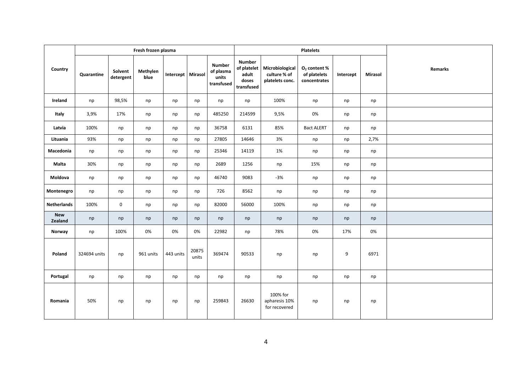|                       |              |                      | Fresh frozen plasma |                     |                |                                                   |                                                              |                                                    | <b>Platelets</b>                                         |           |         |         |
|-----------------------|--------------|----------------------|---------------------|---------------------|----------------|---------------------------------------------------|--------------------------------------------------------------|----------------------------------------------------|----------------------------------------------------------|-----------|---------|---------|
| Country               | Quarantine   | Solvent<br>detergent | Methylen<br>blue    | Intercept   Mirasol |                | <b>Number</b><br>of plasma<br>units<br>transfused | <b>Number</b><br>of platelet<br>adult<br>doses<br>transfused | Microbiological<br>culture % of<br>platelets conc. | O <sub>2</sub> content %<br>of platelets<br>concentrates | Intercept | Mirasol | Remarks |
| Ireland               | np           | 98,5%                | np                  | np                  | np             | np                                                | np                                                           | 100%                                               | np                                                       | np        | np      |         |
| Italy                 | 3,9%         | 17%                  | np                  | np                  | np             | 485250                                            | 214599                                                       | 9,5%                                               | 0%                                                       | np        | np      |         |
| Latvia                | 100%         | np                   | np                  | np                  | np             | 36758                                             | 6131                                                         | 85%                                                | <b>Bact ALERT</b>                                        | np        | np      |         |
| Lituania              | 93%          | np                   | np                  | np                  | np             | 27805                                             | 14646                                                        | 3%                                                 | np                                                       | np        | 2,7%    |         |
| Macedonia             | np           | np                   | np                  | np                  | np             | 25346                                             | 14119                                                        | 1%                                                 | np                                                       | np        | np      |         |
| Malta                 | 30%          | np                   | np                  | np                  | np             | 2689                                              | 1256                                                         | np                                                 | 15%                                                      | np        | np      |         |
| Moldova               | np           | np                   | np                  | np                  | np             | 46740                                             | 9083                                                         | $-3%$                                              | np                                                       | np        | np      |         |
| Montenegro            | np           | np                   | np                  | np                  | np             | 726                                               | 8562                                                         | np                                                 | np                                                       | np        | np      |         |
| Netherlands           | 100%         | $\mathbf 0$          | np                  | np                  | np             | 82000                                             | 56000                                                        | 100%                                               | np                                                       | np        | np      |         |
| <b>New</b><br>Zealand | np           | np                   | np                  | np                  | np             | np                                                | np                                                           | np                                                 | np                                                       | np        | np      |         |
| Norway                | np           | 100%                 | 0%                  | 0%                  | 0%             | 22982                                             | np                                                           | 78%                                                | 0%                                                       | 17%       | 0%      |         |
| Poland                | 324694 units | np                   | 961 units           | 443 units           | 20875<br>units | 369474                                            | 90533                                                        | np                                                 | np                                                       | 9         | 6971    |         |
| Portugal              | np           | np                   | np                  | np                  | np             | np                                                | np                                                           | np                                                 | np                                                       | np        | np      |         |
| Romania               | 50%          | np                   | np                  | np                  | np             | 259843                                            | 26630                                                        | 100% for<br>apharesis 10%<br>for recovered         | np                                                       | np        | np      |         |